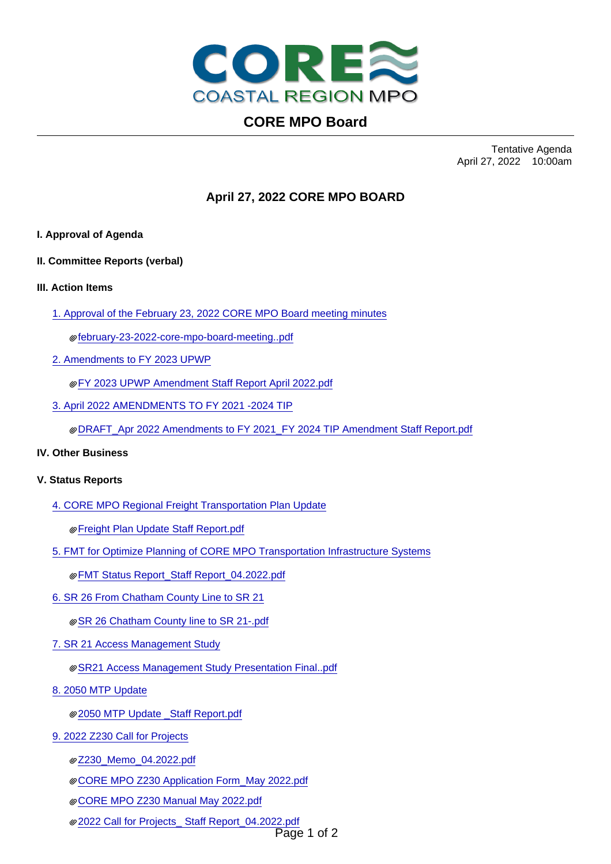

# **CORE MPO Board**

Tentative Agenda April 27, 2022 10:00am

## **April 27, 2022 CORE MPO BOARD**

- **I. Approval of Agenda**
- **II. Committee Reports (verbal)**
- **III. Action Items**
	- [1. Approval of the February 23, 2022 CORE MPO Board meeting minutes](3692_22781.pdf)

[february-23-2022-core-mpo-board-meeting..pdf](february-23-2022-core-mpo-board-meeting.pdf)

[2. Amendments to FY 2023 UPWP](3692_22906.pdf)

[FY 2023 UPWP Amendment Staff Report April 2022.pdf](fy-2023-upwp-amendment-staff-report-april-2022_1.pdf)

- [3. April 2022 AMENDMENTS TO FY 2021 -2024 TIP](3692_22939.pdf)
	- [DRAFT\\_Apr 2022 Amendments to FY 2021\\_FY 2024 TIP Amendment Staff Report.pdf](draft_apr-2022-amendments-to-fy-2021_fy-2024-tip-amendment-staff-report_15.pdf)

#### **IV. Other Business**

#### **V. Status Reports**

[4. CORE MPO Regional Freight Transportation Plan Update](3692_22861.pdf)

[Freight Plan Update Staff Report.pdf](freight-plan-update-staff-report_1.pdf)

- [5. FMT for Optimize Planning of CORE MPO Transportation Infrastructure Systems](3692_22875.pdf)
	- [FMT Status Report\\_Staff Report\\_04.2022.pdf](fmt-status-report_staff-report_042022.pdf)
- [6. SR 26 From Chatham County Line to SR 21](3692_22866.pdf)
	- [SR 26 Chatham County line to SR 21-.pdf](sr-26-chatham-county-line-to-sr-21-_3.pdf)
- [7. SR 21 Access Management Study](3692_22876.pdf)

[SR21 Access Management Study Presentation Final..pdf](sr21-access-management-study-presentation-final.pdf)

- [8. 2050 MTP Update](3692_22934.pdf)
	- [2050 MTP Update \\_Staff Report.pdf](2050-mtp-update-_staff-report_2.pdf)
- [9. 2022 Z230 Call for Projects](3692_22931.pdf)
	- [Z230\\_Memo\\_04.2022.pdf](z230_memo_042022_3.pdf)
	- [CORE MPO Z230 Application Form\\_May 2022.pdf](core-mpo-z230-application-form_may-2022_4.pdf)
	- [CORE MPO Z230 Manual May 2022.pdf](core-mpo-z230-manual-may-2022_7.pdf)
	- [2022 Call for Projects\\_ Staff Report\\_04.2022.pdf](2022-call-for-projects_-staff-report_042022_4.pdf)